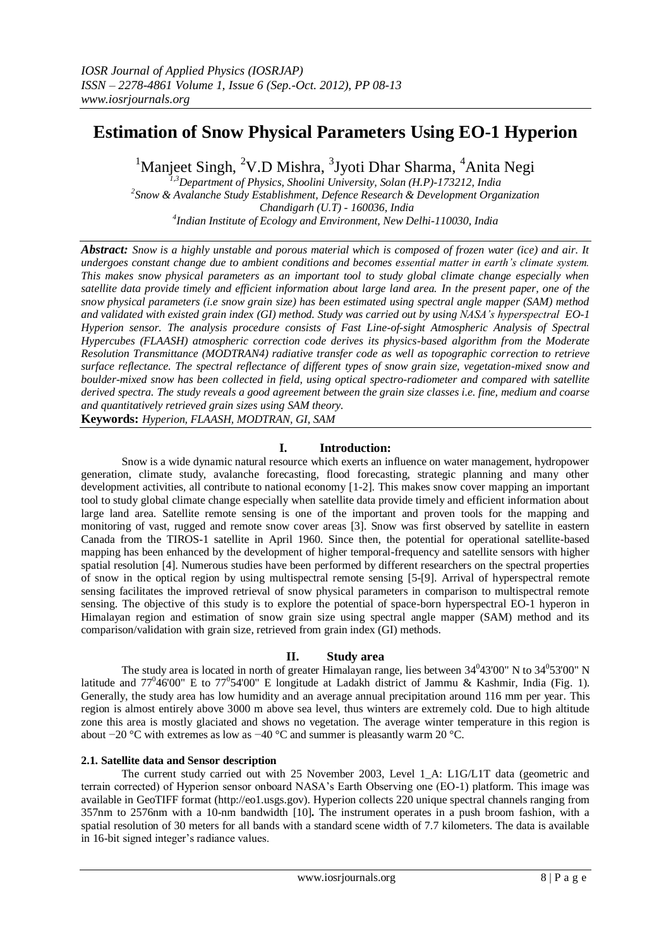# **Estimation of Snow Physical Parameters Using EO-1 Hyperion**

<sup>1</sup>Manjeet Singh, <sup>2</sup>V.D Mishra, <sup>3</sup>Jyoti Dhar Sharma, <sup>4</sup>Anita Negi

*1,3Department of Physics, Shoolini University, Solan (H.P)-173212, India 2 Snow & Avalanche Study Establishment, Defence Research & Development Organization Chandigarh (U.T) - 160036, India 4 Indian Institute of Ecology and Environment, New Delhi-110030, India*

*Abstract: Snow is a highly unstable and porous material which is composed of frozen water (ice) and air. It undergoes constant change due to ambient conditions and becomes essential matter in earth's climate system. This makes snow physical parameters as an important tool to study global climate change especially when satellite data provide timely and efficient information about large land area. In the present paper, one of the snow physical parameters (i.e snow grain size) has been estimated using spectral angle mapper (SAM) method and validated with existed grain index (GI) method. Study was carried out by using NASA's hyperspectral EO-1 Hyperion sensor. The analysis procedure consists of Fast Line-of-sight Atmospheric Analysis of Spectral Hypercubes (FLAASH) atmospheric correction code derives its physics-based algorithm from the Moderate Resolution Transmittance (MODTRAN4) radiative transfer code as well as topographic correction to retrieve surface reflectance. The spectral reflectance of different types of snow grain size, vegetation-mixed snow and boulder-mixed snow has been collected in field, using optical spectro-radiometer and compared with satellite derived spectra. The study reveals a good agreement between the grain size classes i.e. fine, medium and coarse and quantitatively retrieved grain sizes using SAM theory.*

**Keywords:** *Hyperion, FLAASH, MODTRAN, GI, SAM*

## **I. Introduction:**

Snow is a wide dynamic natural resource which exerts an influence on water management, hydropower generation, climate study, avalanche forecasting, flood forecasting, strategic planning and many other development activities, all contribute to national economy [1-2]. This makes snow cover mapping an important tool to study global climate change especially when satellite data provide timely and efficient information about large land area. Satellite remote sensing is one of the important and proven tools for the mapping and monitoring of vast, rugged and remote snow cover areas [3]. Snow was first observed by satellite in eastern Canada from the TIROS-1 satellite in April 1960. Since then, the potential for operational satellite-based mapping has been enhanced by the development of higher temporal-frequency and satellite sensors with higher spatial resolution [4]. Numerous studies have been performed by different researchers on the spectral properties of snow in the optical region by using multispectral remote sensing [5-[9]. Arrival of hyperspectral remote sensing facilitates the improved retrieval of snow physical parameters in comparison to multispectral remote sensing. The objective of this study is to explore the potential of space-born hyperspectral EO-1 hyperon in Himalayan region and estimation of snow grain size using spectral angle mapper (SAM) method and its comparison/validation with grain size, retrieved from grain index (GI) methods.

### **II. Study area**

The study area is located in north of greater Himalayan range, lies between  $34^043'00''$  N to  $34^053'00''$  N latitude and  $77^046'00''$  E to  $77^054'00''$  E longitude at Ladakh district of Jammu & Kashmir, India (Fig. 1). Generally, the study area has low humidity and an average annual precipitation around 116 mm per year. This region is almost entirely above 3000 m above sea level, thus winters are extremely cold. Due to high altitude zone this area is mostly glaciated and shows no vegetation. The average winter temperature in this region is about −20 °C with extremes as low as −40 °C and summer is pleasantly warm 20 °C.

### **2.1. Satellite data and Sensor description**

The current study carried out with 25 November 2003, Level 1 A: L1G/L1T data (geometric and terrain corrected) of Hyperion sensor onboard NASA"s Earth Observing one (EO-1) platform. This image was available in GeoTIFF format (http://eo1.usgs.gov). Hyperion collects 220 unique spectral channels ranging from 357nm to 2576nm with a 10-nm bandwidth [10]**.** The instrument operates in a push broom fashion, with a spatial resolution of 30 meters for all bands with a standard scene width of 7.7 kilometers. The data is available in 16-bit signed integer's radiance values.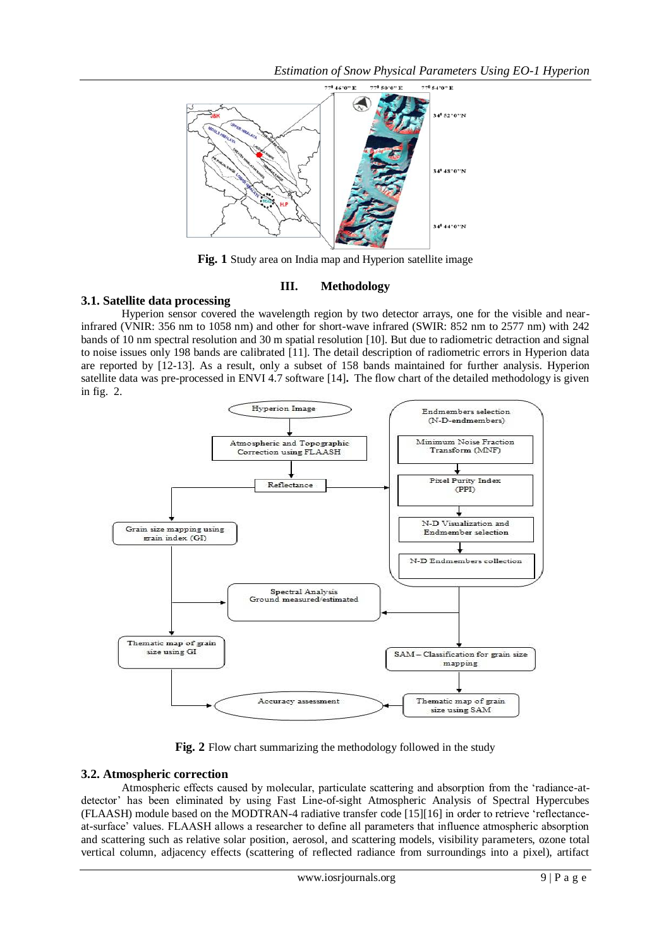*Estimation of Snow Physical Parameters Using EO-1 Hyperion*



**Fig. 1** Study area on India map and Hyperion satellite image

## **III. Methodology**

# **3.1. Satellite data processing**

Hyperion sensor covered the wavelength region by two detector arrays, one for the visible and nearinfrared (VNIR: 356 nm to 1058 nm) and other for short-wave infrared (SWIR: 852 nm to 2577 nm) with 242 bands of 10 nm spectral resolution and 30 m spatial resolution [10]. But due to radiometric detraction and signal to noise issues only 198 bands are calibrated [11]. The detail description of radiometric errors in Hyperion data are reported by [12-13]. As a result, only a subset of 158 bands maintained for further analysis. Hyperion satellite data was pre-processed in ENVI 4.7 software [14]**.** The flow chart of the detailed methodology is given in fig. 2.



**Fig. 2** Flow chart summarizing the methodology followed in the study

# **3.2. Atmospheric correction**

Atmospheric effects caused by molecular, particulate scattering and absorption from the "radiance-atdetector" has been eliminated by using Fast Line-of-sight Atmospheric Analysis of Spectral Hypercubes (FLAASH) module based on the MODTRAN-4 radiative transfer code [15][16] in order to retrieve "reflectanceat-surface" values. FLAASH allows a researcher to define all parameters that influence atmospheric absorption and scattering such as relative solar position, aerosol, and scattering models, visibility parameters, ozone total vertical column, adjacency effects (scattering of reflected radiance from surroundings into a pixel), artifact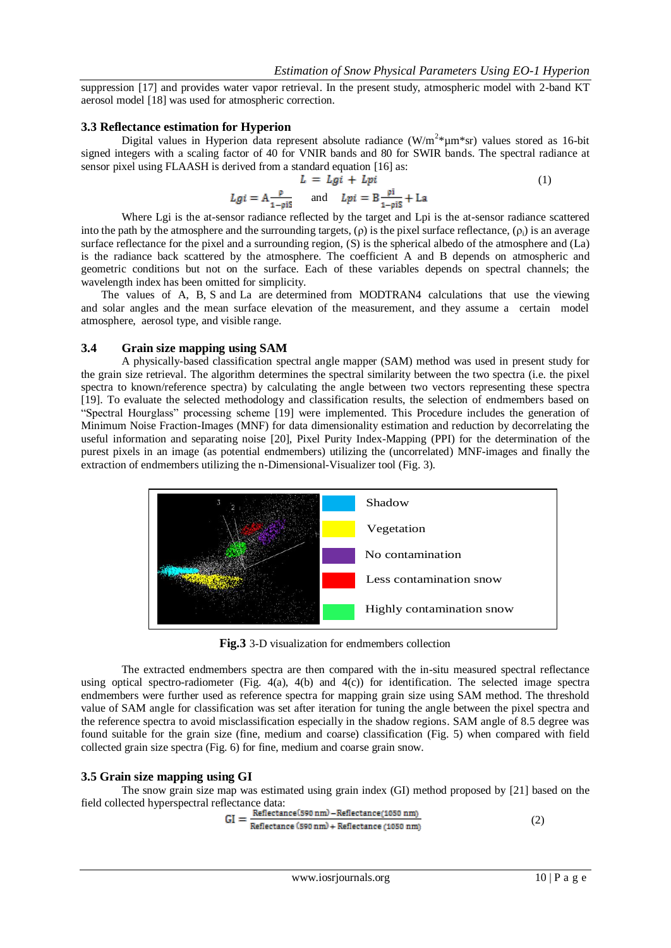suppression [17] and provides water vapor retrieval. In the present study, atmospheric model with 2-band KT aerosol model [18] was used for atmospheric correction.

#### **3.3 Reflectance estimation for Hyperion**

Digital values in Hyperion data represent absolute radiance (W/m<sup>2\*</sup>um\*sr) values stored as 16-bit signed integers with a scaling factor of 40 for VNIR bands and 80 for SWIR bands. The spectral radiance at sensor pixel using FLAASH is derived from a standard equation [16] as:

$$
L = Lgi + Lpi
$$
\n
$$
Lgi = A \frac{p}{1 - niS} \quad \text{and} \quad Lpi = B \frac{pi}{1 - niS} + La
$$
\n
$$
(1)
$$

Where Lgi is the at-sensor radiance reflected by the target and Lpi is the at-sensor radiance scattered into the path by the atmosphere and the surrounding targets, (ρ) is the pixel surface reflectance, (ρi) is an average surface reflectance for the pixel and a surrounding region, (S) is the spherical albedo of the atmosphere and (La) is the radiance back scattered by the atmosphere. The coefficient A and B depends on atmospheric and geometric conditions but not on the surface. Each of these variables depends on spectral channels; the wavelength index has been omitted for simplicity.

The values of A, B, S and La are determined from MODTRAN4 calculations that use the viewing and solar angles and the mean surface elevation of the measurement, and they assume a certain model atmosphere, aerosol type, and visible range.

### **3.4 Grain size mapping using SAM**

A physically-based classification spectral angle mapper (SAM) method was used in present study for the grain size retrieval. The algorithm determines the spectral similarity between the two spectra (i.e. the pixel spectra to known/reference spectra) by calculating the angle between two vectors representing these spectra [19]. To evaluate the selected methodology and classification results, the selection of endmembers based on "Spectral Hourglass" processing scheme [19] were implemented. This Procedure includes the generation of Minimum Noise Fraction-Images (MNF) for data dimensionality estimation and reduction by decorrelating the useful information and separating noise [20], Pixel Purity Index-Mapping (PPI) for the determination of the purest pixels in an image (as potential endmembers) utilizing the (uncorrelated) MNF-images and finally the extraction of endmembers utilizing the n-Dimensional-Visualizer tool (Fig. 3).



**Fig.3** 3-D visualization for endmembers collection

The extracted endmembers spectra are then compared with the in-situ measured spectral reflectance using optical spectro-radiometer (Fig. 4(a), 4(b) and 4(c)) for identification. The selected image spectra endmembers were further used as reference spectra for mapping grain size using SAM method. The threshold value of SAM angle for classification was set after iteration for tuning the angle between the pixel spectra and the reference spectra to avoid misclassification especially in the shadow regions. SAM angle of 8.5 degree was found suitable for the grain size (fine, medium and coarse) classification (Fig. 5) when compared with field collected grain size spectra (Fig. 6) for fine, medium and coarse grain snow.

### **3.5 Grain size mapping using GI**

The snow grain size map was estimated using grain index (GI) method proposed by [21] based on the field collected hyperspectral reflectance data:

$$
GI = \frac{Reference(590 nm) - Reference(1050 nm)}{Reference(590 nm) + Reference(1050 nm)} \tag{2}
$$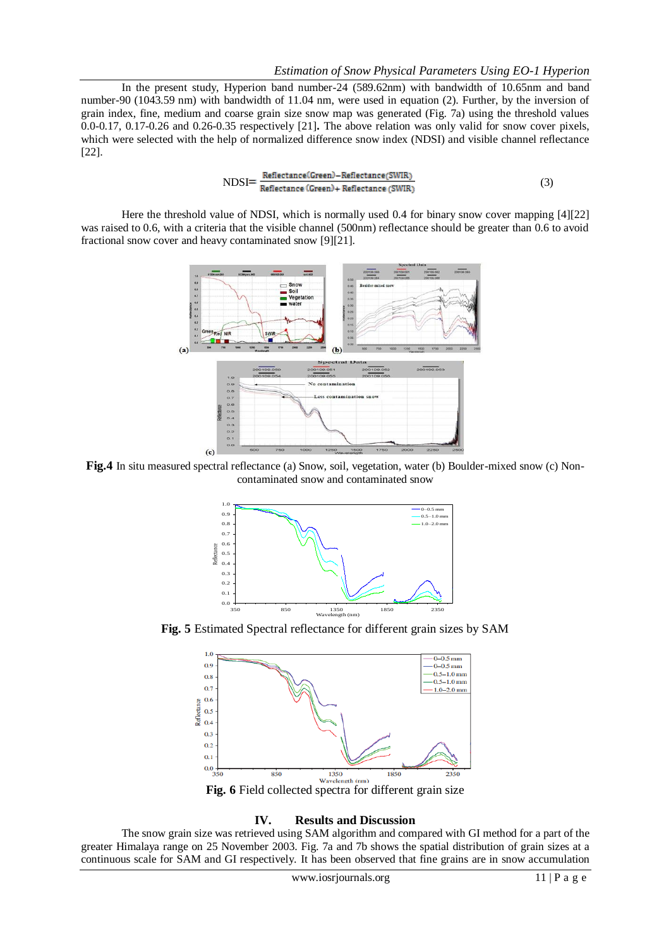In the present study, Hyperion band number-24 (589.62nm) with bandwidth of 10.65nm and band number-90 (1043.59 nm) with bandwidth of 11.04 nm, were used in equation (2). Further, by the inversion of grain index, fine, medium and coarse grain size snow map was generated (Fig. 7a) using the threshold values 0.0-0.17, 0.17-0.26 and 0.26-0.35 respectively [21]**.** The above relation was only valid for snow cover pixels, which were selected with the help of normalized difference snow index (NDSI) and visible channel reflectance [22].

$$
NDSI = \frac{Reference(Green) - Reference(SWIR)}{Reference(Green) + Reference(SWIR)}
$$
(3)

Here the threshold value of NDSI, which is normally used 0.4 for binary snow cover mapping [4][22] was raised to 0.6, with a criteria that the visible channel (500nm) reflectance should be greater than 0.6 to avoid fractional snow cover and heavy contaminated snow [9][21].



**Fig.4** In situ measured spectral reflectance (a) Snow, soil, vegetation, water (b) Boulder-mixed snow (c) Noncontaminated snow and contaminated snow



**Fig. 5** Estimated Spectral reflectance for different grain sizes by SAM



#### **IV. Results and Discussion**

The snow grain size was retrieved using SAM algorithm and compared with GI method for a part of the greater Himalaya range on 25 November 2003. Fig. 7a and 7b shows the spatial distribution of grain sizes at a continuous scale for SAM and GI respectively. It has been observed that fine grains are in snow accumulation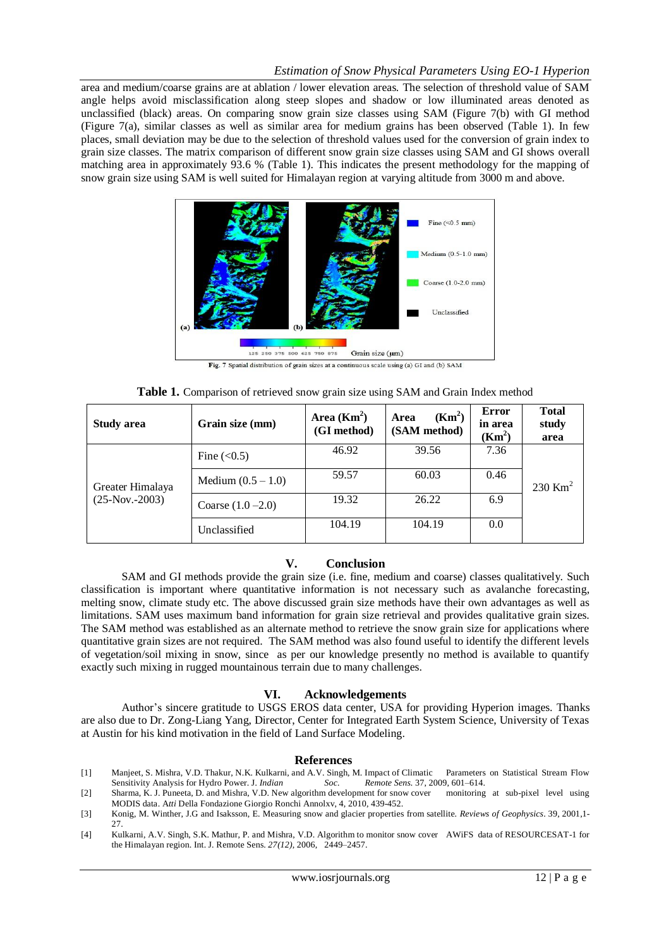## *Estimation of Snow Physical Parameters Using EO-1 Hyperion*

area and medium/coarse grains are at ablation / lower elevation areas. The selection of threshold value of SAM angle helps avoid misclassification along steep slopes and shadow or low illuminated areas denoted as unclassified (black) areas. On comparing snow grain size classes using SAM (Figure 7(b) with GI method (Figure 7(a), similar classes as well as similar area for medium grains has been observed (Table 1). In few places, small deviation may be due to the selection of threshold values used for the conversion of grain index to grain size classes. The matrix comparison of different snow grain size classes using SAM and GI shows overall matching area in approximately 93.6 % (Table 1). This indicates the present methodology for the mapping of snow grain size using SAM is well suited for Himalayan region at varying altitude from 3000 m and above.



| Table 1. Comparison of retrieved snow grain size using SAM and Grain Index method |  |  |  |
|-----------------------------------------------------------------------------------|--|--|--|
|-----------------------------------------------------------------------------------|--|--|--|

| <b>Study area</b>                     | Grain size (mm)      | Area $(Km^2)$<br>(GI method) | (Km <sup>2</sup> )<br>Area<br>(SAM method) | Error<br>in area<br>(Km <sup>2</sup> ) | <b>Total</b><br>study<br>area |
|---------------------------------------|----------------------|------------------------------|--------------------------------------------|----------------------------------------|-------------------------------|
| Greater Himalaya<br>$(25-Nov. -2003)$ | Fine $(<0.5)$        | 46.92                        | 39.56                                      | 7.36                                   |                               |
|                                       | Medium $(0.5 - 1.0)$ | 59.57                        | 60.03                                      | 0.46                                   | 230 Km <sup>2</sup>           |
|                                       | Coarse $(1.0 - 2.0)$ | 19.32                        | 26.22                                      | 6.9                                    |                               |
|                                       | Unclassified         | 104.19                       | 104.19                                     | 0.0                                    |                               |

### **V. Conclusion**

SAM and GI methods provide the grain size (i.e. fine, medium and coarse) classes qualitatively. Such classification is important where quantitative information is not necessary such as avalanche forecasting, melting snow, climate study etc. The above discussed grain size methods have their own advantages as well as limitations. SAM uses maximum band information for grain size retrieval and provides qualitative grain sizes. The SAM method was established as an alternate method to retrieve the snow grain size for applications where quantitative grain sizes are not required. The SAM method was also found useful to identify the different levels of vegetation/soil mixing in snow, since as per our knowledge presently no method is available to quantify exactly such mixing in rugged mountainous terrain due to many challenges.

#### **VI. Acknowledgements**

Author"s sincere gratitude to USGS EROS data center, USA for providing Hyperion images. Thanks are also due to Dr. Zong-Liang Yang, Director, Center for Integrated Earth System Science, University of Texas at Austin for his kind motivation in the field of Land Surface Modeling.

#### **References**

- [1] Manjeet, S. Mishra, V.D. Thakur, N.K. Kulkarni, and A.V. Singh, M. Impact of Climatic Parameters on Statistical Stream Flow Sensitivity Analysis for Hydro Power. J*. Indian Soc. Remote Sens.* 37, 2009, 601–614.
- [2] Sharma, K. J. Puneeta, D. and Mishra, V.D. New algorithm development for snow cover monitoring at sub-pixel level using MODIS data. A*tti* Della Fondazione Giorgio Ronchi Annolxv, 4, 2010, 439-452.
- [3] Konig, M. Winther, J.G and Isaksson, E. Measuring snow and glacier properties from satellite. *Reviews of Geophysics*. 39, 2001,1- 27.
- [4] Kulkarni, A.V. Singh, S.K. Mathur, P. and Mishra, V.D. Algorithm to monitor snow cover AWiFS data of RESOURCESAT-1 for the Himalayan region. Int. J. Remote Sens. *27(12),* 2006, 2449–2457.